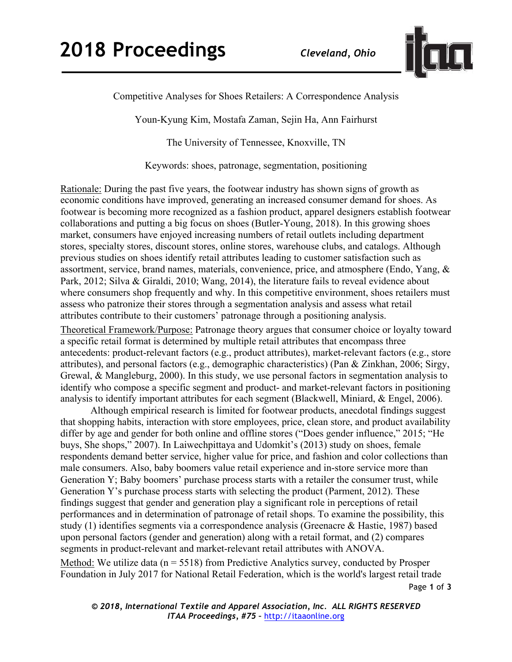

Competitive Analyses for Shoes Retailers: A Correspondence Analysis

Youn-Kyung Kim, Mostafa Zaman, Sejin Ha, Ann Fairhurst

The University of Tennessee, Knoxville, TN

Keywords: shoes, patronage, segmentation, positioning

Rationale: During the past five years, the footwear industry has shown signs of growth as economic conditions have improved, generating an increased consumer demand for shoes. As footwear is becoming more recognized as a fashion product, apparel designers establish footwear collaborations and putting a big focus on shoes (Butler-Young, 2018). In this growing shoes market, consumers have enjoyed increasing numbers of retail outlets including department stores, specialty stores, discount stores, online stores, warehouse clubs, and catalogs. Although previous studies on shoes identify retail attributes leading to customer satisfaction such as assortment, service, brand names, materials, convenience, price, and atmosphere (Endo, Yang, & Park, 2012; Silva & Giraldi, 2010; Wang, 2014), the literature fails to reveal evidence about where consumers shop frequently and why. [I](http://www.technavio.com/report/usa-general-retail-goods-and-services-online-fashion-retail-market)n this competitive environment, shoes retailers must assess who patronize their stores through a segmentation analysis and assess what retail attributes contribute to their customers' patronage through a positioning analysis.

Theoretical Framework/Purpose: Patronage theory argues that consumer choice or loyalty toward a specific retail format is determined by multiple retail attributes that encompass three antecedents: product-relevant factors (e.g., product attributes), market-relevant factors (e.g., store attributes), and personal factors (e.g., demographic characteristics) (Pan & Zinkhan, 2006; Sirgy, Grewal, & Mangleburg, 2000). In this study, we use personal factors in segmentation analysis to identify who compose a specific segment and product- and market-relevant factors in positioning analysis to identify important attributes for each segment (Blackwell, Miniard, & Engel, 2006).

Although empirical research is limited for footwear products, anecdotal findings suggest that shopping habits, interaction with store employees, price, clean store, and product availability differ by age and gender for both online and offline stores ("Does gender influence," 2015; "He buys, She shops," 2007). In Laiwechpittaya and Udomkit's (2013) study on shoes, female respondents demand better service, higher value for price, and fashion and color collections than male consumers. Also, baby boomers value retail experience and in-store service more than Generation Y; Baby boomers' purchase process starts with a retailer the consumer trust, while Generation Y's purchase process starts with selecting the product (Parment, 2012). These findings suggest that gender and generation play a significant role in perceptions of retail performances and in determination of patronage of retail shops. To examine the possibility, this study (1) identifies segments via a correspondence analysis (Greenacre & Hastie, 1987) based upon personal factors (gender and generation) along with a retail format, and (2) compares segments in product-relevant and market-relevant retail attributes with ANOVA. Method: We utilize data ( $n = 5518$ ) from Predictive Analytics survey, conducted by Prosper Foundation in July 2017 for National Retail Federation, which is the world's largest retail trade

Page **1** of **3**

*© 2018, International Textile and Apparel Association, Inc. ALL RIGHTS RESERVED ITAA Proceedings, #75 –* <http://itaaonline.org>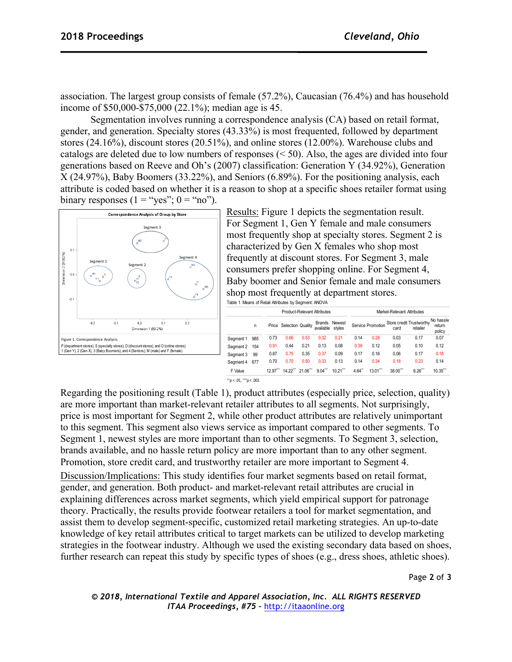association. The largest group consists of female (57.2%), Caucasian (76.4%) and has household income of \$50,000-\$75,000 (22.1%); median age is 45.

Segmentation involves running a correspondence analysis (CA) based on retail format, gender, and generation. Specialty stores (43.33%) is most frequented, followed by department stores (24.16%), discount stores (20.51%), and online stores (12.00%). Warehouse clubs and catalogs are deleted due to low numbers of responses (< 50). Also, the ages are divided into four generations based on Reeve and Oh's (2007) classification: Generation Y (34.92%), Generation X (24.97%), Baby Boomers (33.22%), and Seniors (6.89%). For the positioning analysis, each attribute is coded based on whether it is a reason to shop at a specific shoes retailer format using binary responses  $(1 = "yes"; 0 = "no"$ .



Results: Figure 1 depicts the segmentation result. For Segment 1, Gen Y female and male consumers most frequently shop at specialty stores. Segment 2 is characterized by Gen X females who shop most frequently at discount stores. For Segment 3, male consumers prefer shopping online. For Segment 4, Baby boomer and Senior female and male consumers shop most frequently at department stores. Table

|  |  | $\cdot$ i. Means of Retail Attributes by Segment. ANOVA |  |
|--|--|---------------------------------------------------------|--|
|  |  | <b>Droduct Polougnt Attributor</b>                      |  |

| Price Selection Quality |      | Brands Newest<br>available styles |           |       | Service Promotion      | Store credit Trustworthy |          | No hassle        |
|-------------------------|------|-----------------------------------|-----------|-------|------------------------|--------------------------|----------|------------------|
|                         |      |                                   |           |       |                        | card                     | retailer | return<br>policy |
| 0.66                    | 0.53 | 0.32                              | 0.21      | 0.14  | 0.28                   | 0.03                     | 0.17     | 0.07             |
| 0.44                    | 0.21 | 0.13                              | 0.08      | 0.39  | 0.12                   | 0.05                     | 0.10     | 0.12             |
| 0.75                    | 0.35 | 0.37                              | 0.09      | 0.17  | 0.16                   | 0.06                     | 0.17     | 0.18             |
| 0.70                    | 0.50 | 0.33                              | 0.13      | 0.14  | 0.34                   | 0.18                     | 0.23     | 0.14             |
|                         |      | $9.04$ <sup>***</sup>             | $10.21$ " | 4.64" | $13.01$ <sup>***</sup> | 38.00                    | 6.26     | $10.35$ "        |
|                         |      | 14.22 "21.06"                     |           |       |                        |                          |          |                  |

Regarding the positioning result (Table 1), product attributes (especially price, selection, quality) are more important than market-relevant retailer attributes to all segments. Not surprisingly, price is most important for Segment 2, while other product attributes are relatively unimportant to this segment. This segment also views service as important compared to other segments. To Segment 1, newest styles are more important than to other segments. To Segment 3, selection, brands available, and no hassle return policy are more important than to any other segment. Promotion, store credit card, and trustworthy retailer are more important to Segment 4.

Discussion/Implications: This study identifies four market segments based on retail format, gender, and generation. Both product- and market-relevant retail attributes are crucial in explaining differences across market segments, which yield empirical support for patronage theory. Practically, the results provide footwear retailers a tool for market segmentation, and assist them to develop segment-specific, customized retail marketing strategies. An up-to-date knowledge of key retail attributes critical to target markets can be utilized to develop marketing strategies in the footwear industry. Although we used the existing secondary data based on shoes, further research can repeat this study by specific types of shoes (e.g., dress shoes, athletic shoes).

Page **2** of **3**

*© 2018, International Textile and Apparel Association, Inc. ALL RIGHTS RESERVED ITAA Proceedings, #75 –* <http://itaaonline.org>